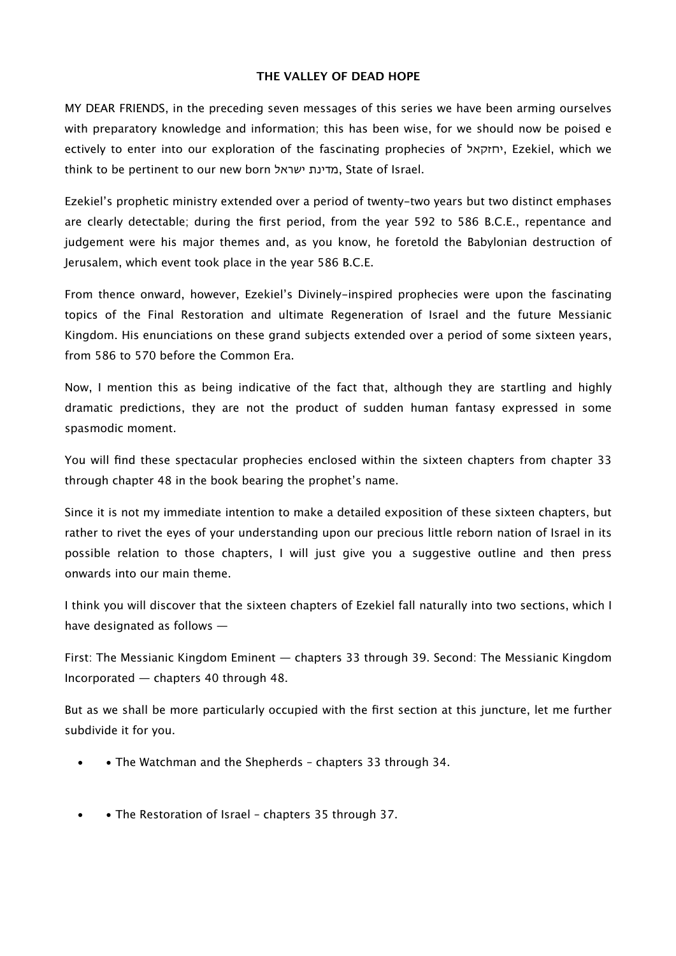#### **THE VALLEY OF DEAD HOPE**

MY DEAR FRIENDS, in the preceding seven messages of this series we have been arming ourselves with preparatory knowledge and information; this has been wise, for we should now be poised e ectively to enter into our exploration of the fascinating prophecies of יחזקאל, Ezekiel, which we think to be pertinent to our new born ישראל מדינת, State of Israel.

Ezekiel's prophetic ministry extended over a period of twenty-two years but two distinct emphases are clearly detectable; during the first period, from the year 592 to 586 B.C.E., repentance and judgement were his major themes and, as you know, he foretold the Babylonian destruction of Jerusalem, which event took place in the year 586 B.C.E.

From thence onward, however, Ezekiel's Divinely-inspired prophecies were upon the fascinating topics of the Final Restoration and ultimate Regeneration of Israel and the future Messianic Kingdom. His enunciations on these grand subjects extended over a period of some sixteen years, from 586 to 570 before the Common Era.

Now, I mention this as being indicative of the fact that, although they are startling and highly dramatic predictions, they are not the product of sudden human fantasy expressed in some spasmodic moment.

You will find these spectacular prophecies enclosed within the sixteen chapters from chapter 33 through chapter 48 in the book bearing the prophet's name.

Since it is not my immediate intention to make a detailed exposition of these sixteen chapters, but rather to rivet the eyes of your understanding upon our precious little reborn nation of Israel in its possible relation to those chapters, I will just give you a suggestive outline and then press onwards into our main theme.

I think you will discover that the sixteen chapters of Ezekiel fall naturally into two sections, which I have designated as follows —

First: The Messianic Kingdom Eminent — chapters 33 through 39. Second: The Messianic Kingdom Incorporated — chapters 40 through 48.

But as we shall be more particularly occupied with the first section at this juncture, let me further subdivide it for you.

- • The Watchman and the Shepherds chapters 33 through 34.
- • The Restoration of Israel chapters 35 through 37.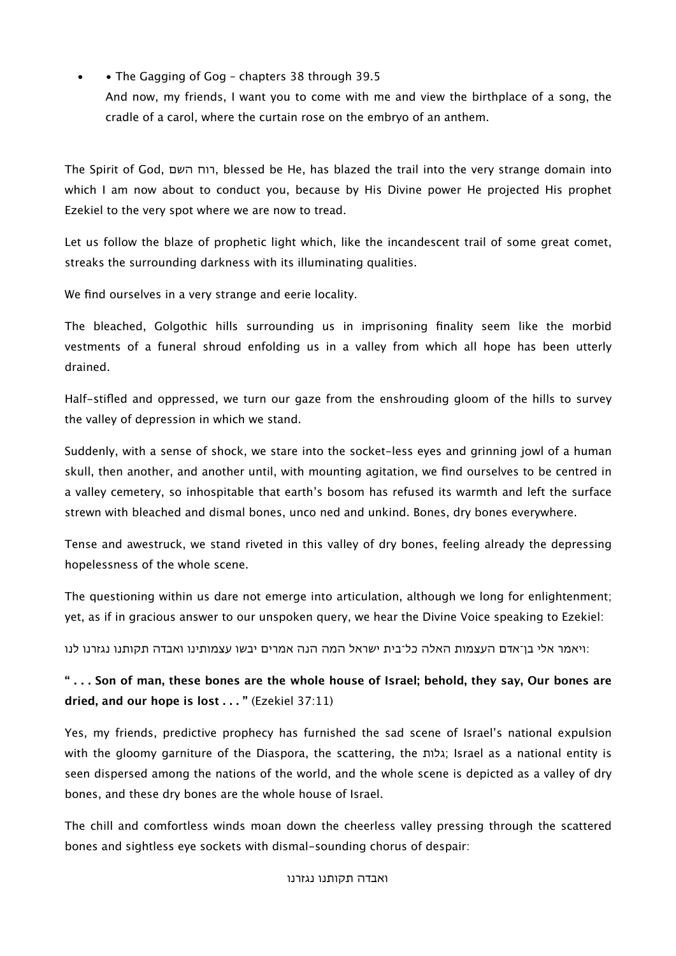• • The Gagging of Gog - chapters 38 through 39.5 And now, my friends, I want you to come with me and view the birthplace of a song, the cradle of a carol, where the curtain rose on the embryo of an anthem.

The Spirit of God, השם רוח, blessed be He, has blazed the trail into the very strange domain into which I am now about to conduct you, because by His Divine power He projected His prophet Ezekiel to the very spot where we are now to tread.

Let us follow the blaze of prophetic light which, like the incandescent trail of some great comet, streaks the surrounding darkness with its illuminating qualities.

We find ourselves in a very strange and eerie locality.

The bleached, Golgothic hills surrounding us in imprisoning finality seem like the morbid vestments of a funeral shroud enfolding us in a valley from which all hope has been utterly drained.

Half-stifled and oppressed, we turn our gaze from the enshrouding gloom of the hills to survey the valley of depression in which we stand.

Suddenly, with a sense of shock, we stare into the socket-less eyes and grinning jowl of a human skull, then another, and another until, with mounting agitation, we find ourselves to be centred in a valley cemetery, so inhospitable that earth's bosom has refused its warmth and left the surface strewn with bleached and dismal bones, unco ned and unkind. Bones, dry bones everywhere.

Tense and awestruck, we stand riveted in this valley of dry bones, feeling already the depressing hopelessness of the whole scene.

The questioning within us dare not emerge into articulation, although we long for enlightenment; yet, as if in gracious answer to our unspoken query, we hear the Divine Voice speaking to Ezekiel:

:ויאמר אלי בן־אדם העצמות האלה כל־בית ישראל המה הנה אמרים יבשו עצמותינו ואבדה תקותנו נגזרנו לנו

**" . . . Son of man, these bones are the whole house of Israel; behold, they say, Our bones are dried, and our hope is lost . . . "** (Ezekiel 37:11)

Yes, my friends, predictive prophecy has furnished the sad scene of Israel's national expulsion with the gloomy garniture of the Diaspora, the scattering, the גלות; Israel as a national entity is seen dispersed among the nations of the world, and the whole scene is depicted as a valley of dry bones, and these dry bones are the whole house of Israel.

The chill and comfortless winds moan down the cheerless valley pressing through the scattered bones and sightless eye sockets with dismal-sounding chorus of despair: